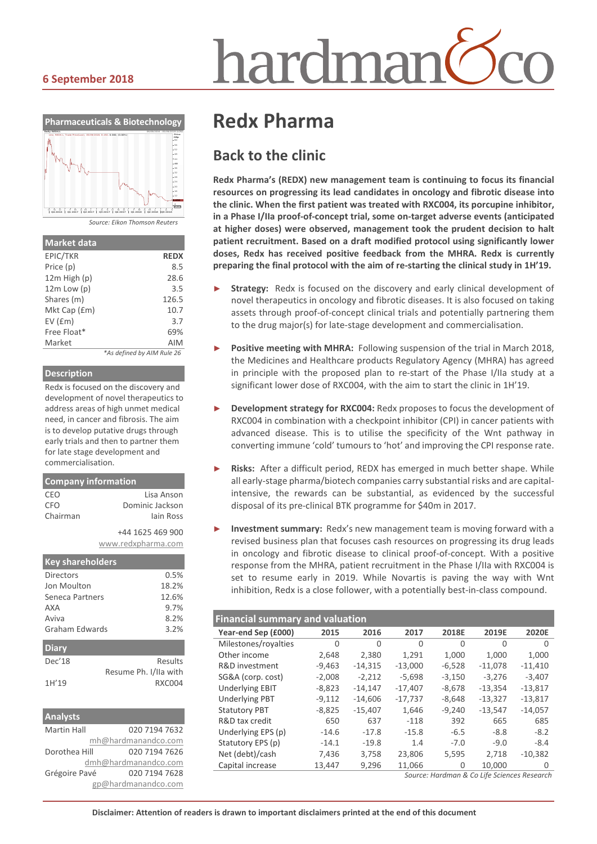# hardmar

#### **6 September 2018**



*Source: Eikon Thomson Reuters*

| <b>Market data</b> |                            |
|--------------------|----------------------------|
| EPIC/TKR           | <b>REDX</b>                |
| Price (p)          | 8.5                        |
| $12m$ High $(p)$   | 28.6                       |
| $12m$ Low $(p)$    | 3.5                        |
| Shares (m)         | 126.5                      |
| Mkt Cap (£m)       | 10.7                       |
| EV(fm)             | 3.7                        |
| Free Float*        | 69%                        |
| Market             | <b>AIM</b>                 |
|                    | *As defined by AIM Rule 26 |

#### **Description**

Redx is focused on the discovery and development of novel therapeutics to address areas of high unmet medical need, in cancer and fibrosis. The aim is to develop putative drugs through early trials and then to partner them for late stage development and commercialisation.

| <b>Company information</b> |                    |  |  |  |  |  |  |
|----------------------------|--------------------|--|--|--|--|--|--|
| CEO                        | l isa Anson        |  |  |  |  |  |  |
| CFO                        | Dominic Jackson    |  |  |  |  |  |  |
| Chairman                   | lain Ross          |  |  |  |  |  |  |
|                            | +44 1625 469 900   |  |  |  |  |  |  |
|                            | www.redxpharma.com |  |  |  |  |  |  |
|                            |                    |  |  |  |  |  |  |
| <b>Key shareholders</b>    |                    |  |  |  |  |  |  |
| Directors                  | 0.5%               |  |  |  |  |  |  |
| Jon Moulton                | 18.2%              |  |  |  |  |  |  |
| Seneca Partners            | 12.6%              |  |  |  |  |  |  |
| AXA                        | 9.7%               |  |  |  |  |  |  |
| Aviva                      | 8.2%               |  |  |  |  |  |  |

| <b>Diary</b> |                       |
|--------------|-----------------------|
| Dec'18       | Results               |
|              | Resume Ph. I/IIa with |
| 1H'19        | <b>RXC004</b>         |

| <b>Analysts</b>    |                      |
|--------------------|----------------------|
| <b>Martin Hall</b> | 020 7194 7632        |
|                    | mh@hardmanandco.com  |
| Dorothea Hill      | 020 7194 7626        |
|                    | dmh@hardmanandco.com |
| Grégoire Pavé      | 020 7194 7628        |
|                    | gp@hardmanandco.com  |

## **Redx Pharma**

### **Back to the clinic**

**Redx Pharma's (REDX) new management team is continuing to focus its financial resources on progressing its lead candidates in oncology and fibrotic disease into the clinic. When the first patient was treated with RXC004, its porcupine inhibitor, in a Phase I/IIa proof-of-concept trial, some on-target adverse events (anticipated at higher doses) were observed, management took the prudent decision to halt patient recruitment. Based on a draft modified protocol using significantly lower doses, Redx has received positive feedback from the MHRA. Redx is currently preparing the final protocol with the aim of re-starting the clinical study in 1H'19.**

- Strategy: Redx is focused on the discovery and early clinical development of novel therapeutics in oncology and fibrotic diseases. It is also focused on taking assets through proof-of-concept clinical trials and potentially partnering them to the drug major(s) for late-stage development and commercialisation.
- Positive meeting with MHRA: Following suspension of the trial in March 2018, the Medicines and Healthcare products Regulatory Agency (MHRA) has agreed in principle with the proposed plan to re-start of the Phase I/IIa study at a significant lower dose of RXC004, with the aim to start the clinic in 1H'19.
- ► **Development strategy for RXC004:** Redx proposes to focus the development of RXC004 in combination with a checkpoint inhibitor (CPI) in cancer patients with advanced disease. This is to utilise the specificity of the Wnt pathway in converting immune 'cold' tumours to 'hot' and improving the CPI response rate.
- Risks: After a difficult period, REDX has emerged in much better shape. While all early-stage pharma/biotech companies carry substantial risks and are capitalintensive, the rewards can be substantial, as evidenced by the successful disposal of its pre-clinical BTK programme for \$40m in 2017.
- **Investment summary:** Redx's new management team is moving forward with a revised business plan that focuses cash resources on progressing its drug leads in oncology and fibrotic disease to clinical proof-of-concept. With a positive response from the MHRA, patient recruitment in the Phase I/IIa with RXC004 is set to resume early in 2019. While Novartis is paving the way with Wnt inhibition, Redx is a close follower, with a potentially best-in-class compound.

| <b>Financial summary and valuation</b>     |          |           |           |          |           |              |  |  |
|--------------------------------------------|----------|-----------|-----------|----------|-----------|--------------|--|--|
| Year-end Sep (£000)                        | 2015     | 2016      | 2017      | 2018E    | 2019E     | <b>2020E</b> |  |  |
| Milestones/royalties                       | $\Omega$ | $\Omega$  | $\Omega$  | $\Omega$ | $\Omega$  | $\Omega$     |  |  |
| Other income                               | 2,648    | 2,380     | 1,291     | 1,000    | 1,000     | 1,000        |  |  |
| R&D investment                             | $-9,463$ | $-14,315$ | $-13,000$ | $-6,528$ | $-11,078$ | $-11,410$    |  |  |
| SG&A (corp. cost)                          | $-2,008$ | $-2,212$  | $-5,698$  | $-3,150$ | $-3,276$  | $-3,407$     |  |  |
| <b>Underlying EBIT</b>                     | $-8,823$ | $-14,147$ | $-17,407$ | $-8,678$ | $-13,354$ | $-13,817$    |  |  |
| <b>Underlying PBT</b>                      | $-9,112$ | $-14.606$ | $-17,737$ | $-8.648$ | $-13,327$ | $-13,817$    |  |  |
| <b>Statutory PBT</b>                       | $-8,825$ | $-15,407$ | 1,646     | $-9,240$ | $-13,547$ | $-14,057$    |  |  |
| R&D tax credit                             | 650      | 637       | $-118$    | 392      | 665       | 685          |  |  |
| Underlying EPS (p)                         | $-14.6$  | $-17.8$   | $-15.8$   | $-6.5$   | $-8.8$    | $-8.2$       |  |  |
| Statutory EPS (p)                          | $-14.1$  | $-19.8$   | 1.4       | $-7.0$   | $-9.0$    | $-8.4$       |  |  |
| Net (debt)/cash                            | 7,436    | 3,758     | 23,806    | 5,595    | 2,718     | $-10.382$    |  |  |
| Capital increase                           | 13,447   | 9,296     | 11,066    | 0        | 10.000    | 0            |  |  |
| Course Houstons O.C. Life Colonnon Donomak |          |           |           |          |           |              |  |  |

*Source: Hardman & Co Life Sciences Research*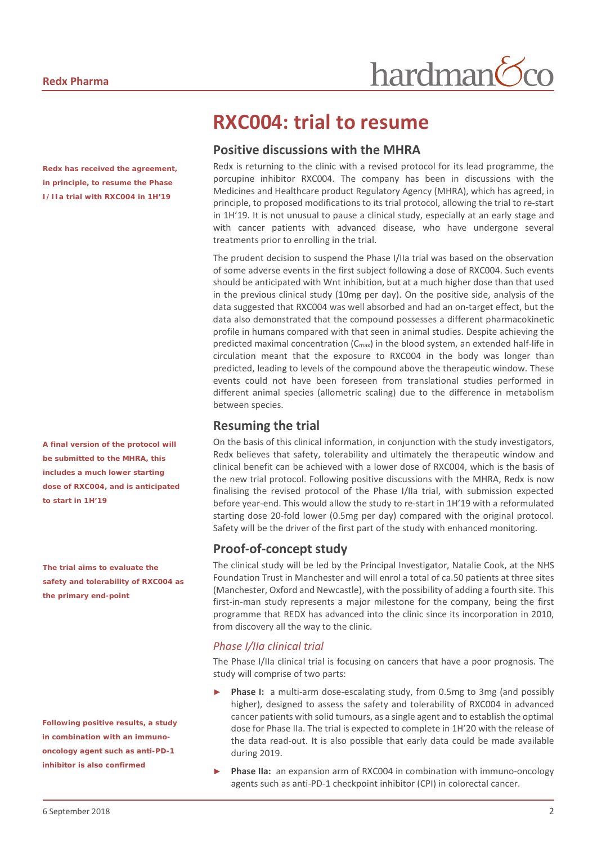*Redx has received the agreement, in principle, to resume the Phase I/IIa trial with RXC004 in 1H'19*

*A final version of the protocol will be submitted to the MHRA, this includes a much lower starting dose of RXC004, and is anticipated to start in 1H'19*

*The trial aims to evaluate the safety and tolerability of RXC004 as the primary end-point*

*Following positive results, a study in combination with an immunooncology agent such as anti-PD-1 inhibitor is also confirmed*

## **RXC004: trial to resume**

#### **Positive discussions with the MHRA**

Redx is returning to the clinic with a revised protocol for its lead programme, the porcupine inhibitor RXC004. The company has been in discussions with the Medicines and Healthcare product Regulatory Agency (MHRA), which has agreed, in principle, to proposed modifications to its trial protocol, allowing the trial to re-start in 1H'19. It is not unusual to pause a clinical study, especially at an early stage and with cancer patients with advanced disease, who have undergone several treatments prior to enrolling in the trial.

hardman

The prudent decision to suspend the Phase I/IIa trial was based on the observation of some adverse events in the first subject following a dose of RXC004. Such events should be anticipated with Wnt inhibition, but at a much higher dose than that used in the previous clinical study (10mg per day). On the positive side, analysis of the data suggested that RXC004 was well absorbed and had an on-target effect, but the data also demonstrated that the compound possesses a different pharmacokinetic profile in humans compared with that seen in animal studies. Despite achieving the predicted maximal concentration (C<sub>max</sub>) in the blood system, an extended half-life in circulation meant that the exposure to RXC004 in the body was longer than predicted, leading to levels of the compound above the therapeutic window. These events could not have been foreseen from translational studies performed in different animal species (allometric scaling) due to the difference in metabolism between species.

#### **Resuming the trial**

On the basis of this clinical information, in conjunction with the study investigators, Redx believes that safety, tolerability and ultimately the therapeutic window and clinical benefit can be achieved with a lower dose of RXC004, which is the basis of the new trial protocol. Following positive discussions with the MHRA, Redx is now finalising the revised protocol of the Phase I/IIa trial, with submission expected before year-end. This would allow the study to re-start in 1H'19 with a reformulated starting dose 20-fold lower (0.5mg per day) compared with the original protocol. Safety will be the driver of the first part of the study with enhanced monitoring.

#### **Proof-of-concept study**

The clinical study will be led by the Principal Investigator, Natalie Cook, at the NHS Foundation Trust in Manchester and will enrol a total of ca.50 patients at three sites (Manchester, Oxford and Newcastle), with the possibility of adding a fourth site. This first-in-man study represents a major milestone for the company, being the first programme that REDX has advanced into the clinic since its incorporation in 2010, from discovery all the way to the clinic.

#### *Phase I/IIa clinical trial*

The Phase I/IIa clinical trial is focusing on cancers that have a poor prognosis. The study will comprise of two parts:

- Phase I: a multi-arm dose-escalating study, from 0.5mg to 3mg (and possibly higher), designed to assess the safety and tolerability of RXC004 in advanced cancer patients with solid tumours, as a single agent and to establish the optimal dose for Phase IIa. The trial is expected to complete in 1H'20 with the release of the data read-out. It is also possible that early data could be made available during 2019.
- Phase IIa: an expansion arm of RXC004 in combination with immuno-oncology agents such as anti-PD-1 checkpoint inhibitor (CPI) in colorectal cancer.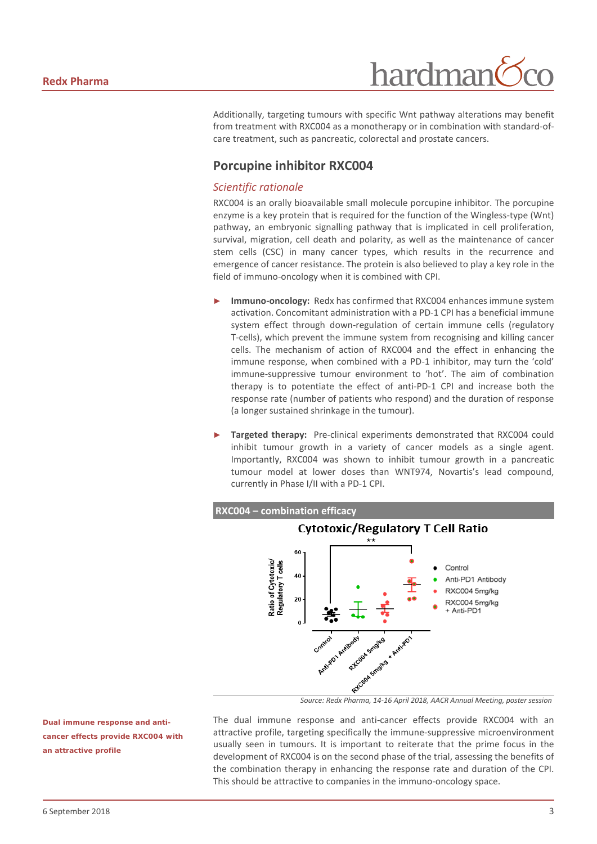hardman

Additionally, targeting tumours with specific Wnt pathway alterations may benefit from treatment with RXC004 as a monotherapy or in combination with standard-ofcare treatment, such as pancreatic, colorectal and prostate cancers.

#### **Porcupine inhibitor RXC004**

#### *Scientific rationale*

RXC004 is an orally bioavailable small molecule porcupine inhibitor. The porcupine enzyme is a key protein that is required for the function of the Wingless-type (Wnt) pathway, an embryonic signalling pathway that is implicated in cell proliferation, survival, migration, cell death and polarity, as well as the maintenance of cancer stem cells (CSC) in many cancer types, which results in the recurrence and emergence of cancer resistance. The protein is also believed to play a key role in the field of immuno-oncology when it is combined with CPI.

- Immuno-oncology: Redx has confirmed that RXC004 enhances immune system activation. Concomitant administration with a PD-1 CPI has a beneficial immune system effect through down-regulation of certain immune cells (regulatory T-cells), which prevent the immune system from recognising and killing cancer cells. The mechanism of action of RXC004 and the effect in enhancing the immune response, when combined with a PD-1 inhibitor, may turn the 'cold' immune-suppressive tumour environment to 'hot'. The aim of combination therapy is to potentiate the effect of anti-PD-1 CPI and increase both the response rate (number of patients who respond) and the duration of response (a longer sustained shrinkage in the tumour).
- **Targeted therapy:** Pre-clinical experiments demonstrated that RXC004 could inhibit tumour growth in a variety of cancer models as a single agent. Importantly, RXC004 was shown to inhibit tumour growth in a pancreatic tumour model at lower doses than WNT974, Novartis's lead compound, currently in Phase I/II with a PD-1 CPI.



*Source: Redx Pharma, 14-16 April 2018, AACR Annual Meeting, poster session*

The dual immune response and anti-cancer effects provide RXC004 with an attractive profile, targeting specifically the immune-suppressive microenvironment usually seen in tumours. It is important to reiterate that the prime focus in the development of RXC004 is on the second phase of the trial, assessing the benefits of the combination therapy in enhancing the response rate and duration of the CPI. This should be attractive to companies in the immuno-oncology space.

*Dual immune response and anticancer effects provide RXC004 with an attractive profile*